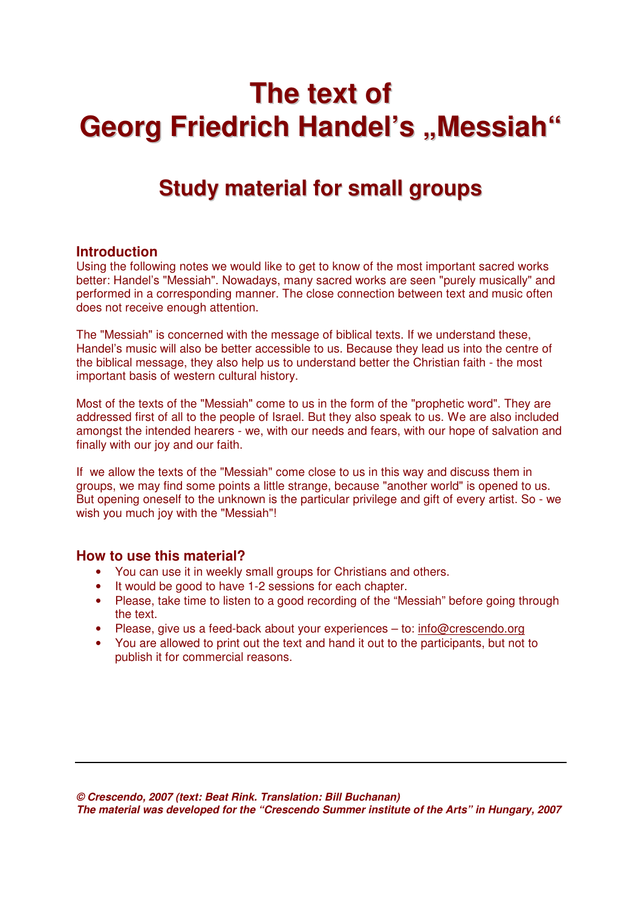# **The text of Georg Friedrich Handel's "Messiah"**

## **Study material for small groups**

### **Introduction**

Using the following notes we would like to get to know of the most important sacred works better: Handel's "Messiah". Nowadays, many sacred works are seen "purely musically" and performed in a corresponding manner. The close connection between text and music often does not receive enough attention.

The "Messiah" is concerned with the message of biblical texts. If we understand these, Handel's music will also be better accessible to us. Because they lead us into the centre of the biblical message, they also help us to understand better the Christian faith - the most important basis of western cultural history.

Most of the texts of the "Messiah" come to us in the form of the "prophetic word". They are addressed first of all to the people of Israel. But they also speak to us. We are also included amongst the intended hearers - we, with our needs and fears, with our hope of salvation and finally with our joy and our faith.

If we allow the texts of the "Messiah" come close to us in this way and discuss them in groups, we may find some points a little strange, because "another world" is opened to us. But opening oneself to the unknown is the particular privilege and gift of every artist. So - we wish you much joy with the "Messiah"!

### **How to use this material?**

- You can use it in weekly small groups for Christians and others.
- It would be good to have 1-2 sessions for each chapter.
- Please, take time to listen to a good recording of the "Messiah" before going through the text.
- Please, give us a feed-back about your experiences to: info@crescendo.org
- You are allowed to print out the text and hand it out to the participants, but not to publish it for commercial reasons.

**© Crescendo, 2007 (text: Beat Rink. Translation: Bill Buchanan) The material was developed for the "Crescendo Summer institute of the Arts" in Hungary, 2007**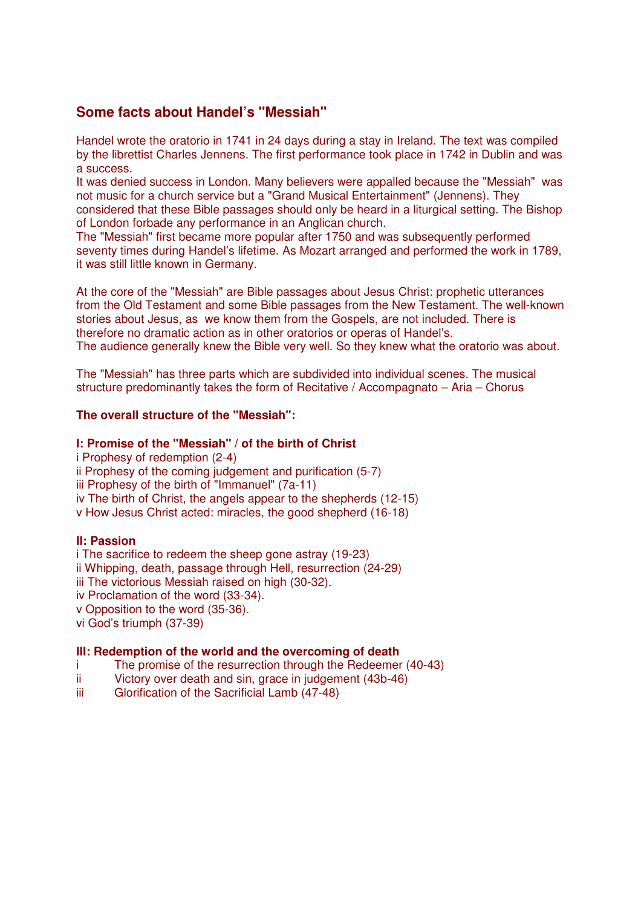### **Some facts about Handel's "Messiah"**

Handel wrote the oratorio in 1741 in 24 days during a stay in Ireland. The text was compiled by the librettist Charles Jennens. The first performance took place in 1742 in Dublin and was a success.

It was denied success in London. Many believers were appalled because the "Messiah" was not music for a church service but a "Grand Musical Entertainment" (Jennens). They considered that these Bible passages should only be heard in a liturgical setting. The Bishop of London forbade any performance in an Anglican church.

The "Messiah" first became more popular after 1750 and was subsequently performed seventy times during Handel's lifetime. As Mozart arranged and performed the work in 1789, it was still little known in Germany.

At the core of the "Messiah" are Bible passages about Jesus Christ: prophetic utterances from the Old Testament and some Bible passages from the New Testament. The well-known stories about Jesus, as we know them from the Gospels, are not included. There is therefore no dramatic action as in other oratorios or operas of Handel's. The audience generally knew the Bible very well. So they knew what the oratorio was about.

The "Messiah" has three parts which are subdivided into individual scenes. The musical structure predominantly takes the form of Recitative / Accompagnato – Aria – Chorus

### **The overall structure of the "Messiah":**

### **I: Promise of the "Messiah" / of the birth of Christ**

i Prophesy of redemption (2-4) ii Prophesy of the coming judgement and purification (5-7) iii Prophesy of the birth of "Immanuel" (7a-11) iv The birth of Christ, the angels appear to the shepherds (12-15) v How Jesus Christ acted: miracles, the good shepherd (16-18)

#### **II: Passion**

i The sacrifice to redeem the sheep gone astray (19-23) ii Whipping, death, passage through Hell, resurrection (24-29) iii The victorious Messiah raised on high (30-32). iv Proclamation of the word (33-34). v Opposition to the word (35-36). vi God's triumph (37-39)

### **III: Redemption of the world and the overcoming of death**

- i The promise of the resurrection through the Redeemer (40-43)<br>ii Victory over death and sin, grace in judgement (43b-46)
- Victory over death and sin, grace in judgement (43b-46)
- iii Glorification of the Sacrificial Lamb (47-48)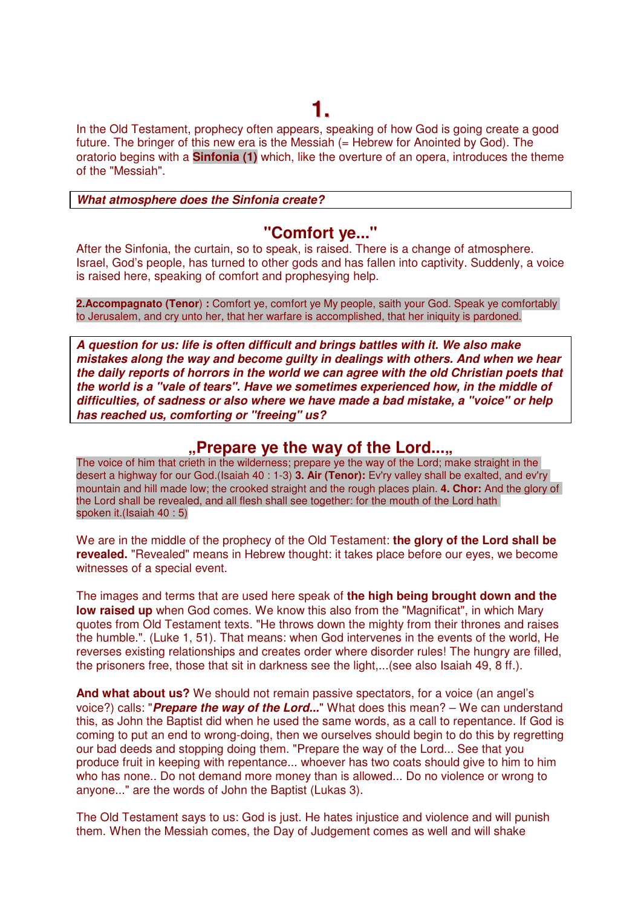In the Old Testament, prophecy often appears, speaking of how God is going create a good future. The bringer of this new era is the Messiah  $(=$  Hebrew for Anointed by God). The oratorio begins with a **Sinfonia (1)** which, like the overture of an opera, introduces the theme of the "Messiah".

**What atmosphere does the Sinfonia create?** 

## **"Comfort ye..."**

After the Sinfonia, the curtain, so to speak, is raised. There is a change of atmosphere. Israel, God's people, has turned to other gods and has fallen into captivity. Suddenly, a voice is raised here, speaking of comfort and prophesying help.

**2.Accompagnato (Tenor**) **:** Comfort ye, comfort ye My people, saith your God. Speak ye comfortably to Jerusalem, and cry unto her, that her warfare is accomplished, that her iniquity is pardoned.

**A question for us: life is often difficult and brings battles with it. We also make mistakes along the way and become guilty in dealings with others. And when we hear the daily reports of horrors in the world we can agree with the old Christian poets that the world is a "vale of tears". Have we sometimes experienced how, in the middle of difficulties, of sadness or also where we have made a bad mistake, a "voice" or help has reached us, comforting or "freeing" us?** 

## **Prepare ye the way of the Lord....**

The voice of him that crieth in the wilderness; prepare ye the way of the Lord; make straight in the desert a highway for our God.(Isaiah 40 : 1-3) **3. Air (Tenor):** Ev'ry valley shall be exalted, and ev'ry mountain and hill made low; the crooked straight and the rough places plain. **4. Chor:** And the glory of the Lord shall be revealed, and all flesh shall see together: for the mouth of the Lord hath spoken it.(Isaiah 40 : 5)

We are in the middle of the prophecy of the Old Testament: **the glory of the Lord shall be revealed.** "Revealed" means in Hebrew thought: it takes place before our eyes, we become witnesses of a special event.

The images and terms that are used here speak of **the high being brought down and the low raised up** when God comes. We know this also from the "Magnificat", in which Mary quotes from Old Testament texts. "He throws down the mighty from their thrones and raises the humble.". (Luke 1, 51). That means: when God intervenes in the events of the world, He reverses existing relationships and creates order where disorder rules! The hungry are filled, the prisoners free, those that sit in darkness see the light,...(see also Isaiah 49, 8 ff.).

**And what about us?** We should not remain passive spectators, for a voice (an angel's voice?) calls: "**Prepare the way of the Lord...**" What does this mean? – We can understand this, as John the Baptist did when he used the same words, as a call to repentance. If God is coming to put an end to wrong-doing, then we ourselves should begin to do this by regretting our bad deeds and stopping doing them. "Prepare the way of the Lord... See that you produce fruit in keeping with repentance... whoever has two coats should give to him to him who has none.. Do not demand more money than is allowed... Do no violence or wrong to anyone..." are the words of John the Baptist (Lukas 3).

The Old Testament says to us: God is just. He hates injustice and violence and will punish them. When the Messiah comes, the Day of Judgement comes as well and will shake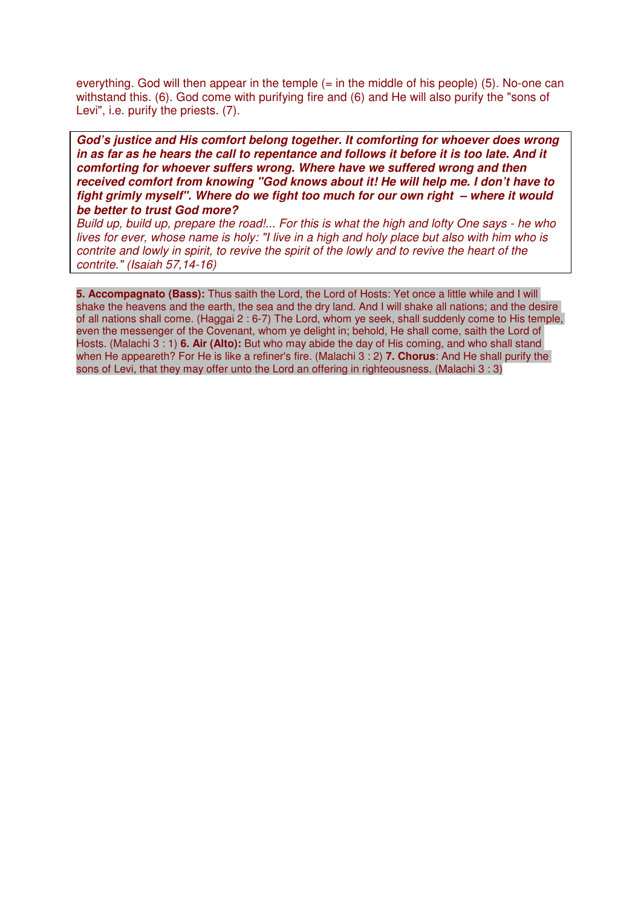everything. God will then appear in the temple  $(=$  in the middle of his people) (5). No-one can withstand this. (6). God come with purifying fire and (6) and He will also purify the "sons of Levi", i.e. purify the priests. (7).

**God's justice and His comfort belong together. It comforting for whoever does wrong in as far as he hears the call to repentance and follows it before it is too late. And it comforting for whoever suffers wrong. Where have we suffered wrong and then received comfort from knowing "God knows about it! He will help me. I don't have to fight grimly myself". Where do we fight too much for our own right – where it would be better to trust God more?** 

Build up, build up, prepare the road!... For this is what the high and lofty One says - he who lives for ever, whose name is holy: "I live in a high and holy place but also with him who is contrite and lowly in spirit, to revive the spirit of the lowly and to revive the heart of the contrite." (Isaiah 57,14-16)

**5. Accompagnato (Bass):** Thus saith the Lord, the Lord of Hosts: Yet once a little while and I will shake the heavens and the earth, the sea and the dry land. And I will shake all nations; and the desire of all nations shall come. (Haggai 2 : 6-7) The Lord, whom ye seek, shall suddenly come to His temple, even the messenger of the Covenant, whom ye delight in; behold, He shall come, saith the Lord of Hosts. (Malachi 3 : 1) **6. Air (Alto):** But who may abide the day of His coming, and who shall stand when He appeareth? For He is like a refiner's fire. (Malachi 3 : 2) **7. Chorus**: And He shall purify the sons of Levi, that they may offer unto the Lord an offering in righteousness. (Malachi 3 : 3)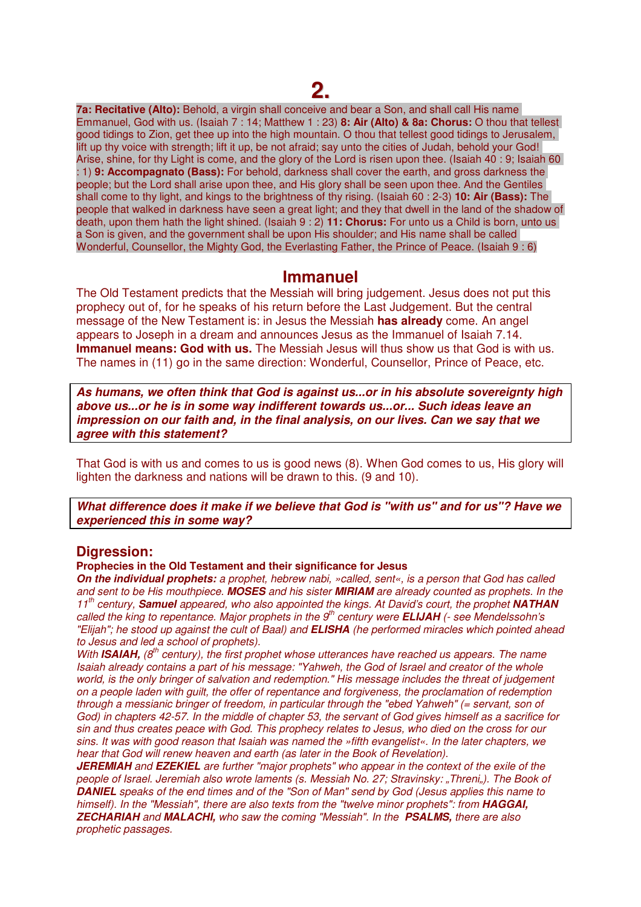## **2.**

**7a: Recitative (Alto):** Behold, a virgin shall conceive and bear a Son, and shall call His name Emmanuel, God with us. (Isaiah 7 : 14; Matthew 1 : 23) **8: Air (Alto) & 8a: Chorus:** O thou that tellest good tidings to Zion, get thee up into the high mountain. O thou that tellest good tidings to Jerusalem, lift up thy voice with strength; lift it up, be not afraid; say unto the cities of Judah, behold your God! Arise, shine, for thy Light is come, and the glory of the Lord is risen upon thee. (Isaiah 40 : 9; Isaiah 60 : 1) **9: Accompagnato (Bass):** For behold, darkness shall cover the earth, and gross darkness the people; but the Lord shall arise upon thee, and His glory shall be seen upon thee. And the Gentiles shall come to thy light, and kings to the brightness of thy rising. (Isaiah 60 : 2-3) **10: Air (Bass):** The people that walked in darkness have seen a great light; and they that dwell in the land of the shadow of death, upon them hath the light shined. (Isaiah 9 : 2) **11: Chorus:** For unto us a Child is born, unto us a Son is given, and the government shall be upon His shoulder; and His name shall be called Wonderful, Counsellor, the Mighty God, the Everlasting Father, the Prince of Peace. (Isaiah 9 : 6)

### **Immanuel**

The Old Testament predicts that the Messiah will bring judgement. Jesus does not put this prophecy out of, for he speaks of his return before the Last Judgement. But the central message of the New Testament is: in Jesus the Messiah **has already** come. An angel appears to Joseph in a dream and announces Jesus as the Immanuel of Isaiah 7.14. **Immanuel means: God with us.** The Messiah Jesus will thus show us that God is with us. The names in (11) go in the same direction: Wonderful, Counsellor, Prince of Peace, etc.

**As humans, we often think that God is against us...or in his absolute sovereignty high above us...or he is in some way indifferent towards us...or... Such ideas leave an impression on our faith and, in the final analysis, on our lives. Can we say that we agree with this statement?** 

That God is with us and comes to us is good news (8). When God comes to us, His glory will lighten the darkness and nations will be drawn to this. (9 and 10).

**What difference does it make if we believe that God is "with us" and for us"? Have we experienced this in some way?** 

### **Digression:**

#### **Prophecies in the Old Testament and their significance for Jesus**

**On the individual prophets:** a prophet, hebrew nabi, »called, sent«, is a person that God has called and sent to be His mouthpiece. **MOSES** and his sister **MIRIAM** are already counted as prophets. In the 11th century, **Samuel** appeared, who also appointed the kings. At David's court, the prophet **NATHAN** called the king to repentance. Major prophets in the 9<sup>th</sup> century were **ELIJAH** (- see Mendelssohn's "Elijah"; he stood up against the cult of Baal) and **ELISHA** (he performed miracles which pointed ahead to Jesus and led a school of prophets).

With **ISAIAH,** (8<sup>th</sup> century), the first prophet whose utterances have reached us appears. The name Isaiah already contains a part of his message: "Yahweh, the God of Israel and creator of the whole world, is the only bringer of salvation and redemption." His message includes the threat of judgement on a people laden with guilt, the offer of repentance and forgiveness, the proclamation of redemption through a messianic bringer of freedom, in particular through the "ebed Yahweh" (= servant, son of God) in chapters 42-57. In the middle of chapter 53, the servant of God gives himself as a sacrifice for sin and thus creates peace with God. This prophecy relates to Jesus, who died on the cross for our sins. It was with good reason that Isaiah was named the »fifth evangelist«. In the later chapters, we hear that God will renew heaven and earth (as later in the Book of Revelation).

**JEREMIAH** and **EZEKIEL** are further "major prophets" who appear in the context of the exile of the people of Israel. Jeremiah also wrote laments (s. Messiah No. 27; Stravinsky: "Threni"). The Book of **DANIEL** speaks of the end times and of the "Son of Man" send by God (Jesus applies this name to himself). In the "Messiah", there are also texts from the "twelve minor prophets": from **HAGGAI, ZECHARIAH** and **MALACHI,** who saw the coming "Messiah". In the **PSALMS,** there are also prophetic passages.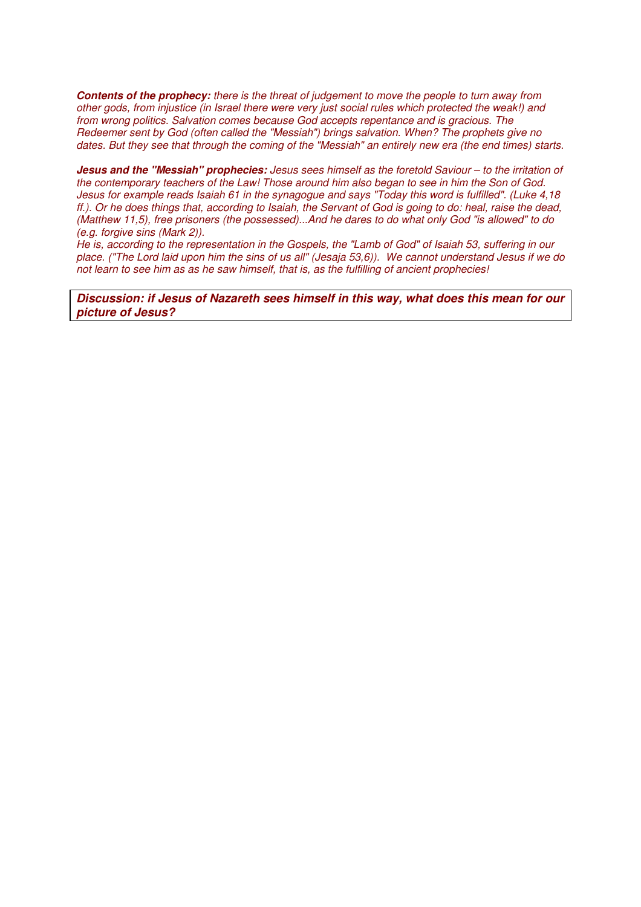**Contents of the prophecy:** there is the threat of judgement to move the people to turn away from other gods, from injustice (in Israel there were very just social rules which protected the weak!) and from wrong politics. Salvation comes because God accepts repentance and is gracious. The Redeemer sent by God (often called the "Messiah") brings salvation. When? The prophets give no dates. But they see that through the coming of the "Messiah" an entirely new era (the end times) starts.

**Jesus and the "Messiah" prophecies:** Jesus sees himself as the foretold Saviour – to the irritation of the contemporary teachers of the Law! Those around him also began to see in him the Son of God. Jesus for example reads Isaiah 61 in the synagogue and says "Today this word is fulfilled". (Luke 4,18 ff.). Or he does things that, according to Isaiah, the Servant of God is going to do: heal, raise the dead, (Matthew 11,5), free prisoners (the possessed)...And he dares to do what only God "is allowed" to do (e.g. forgive sins (Mark 2)).

He is, according to the representation in the Gospels, the "Lamb of God" of Isaiah 53, suffering in our place. ("The Lord laid upon him the sins of us all" (Jesaja 53,6)). We cannot understand Jesus if we do not learn to see him as as he saw himself, that is, as the fulfilling of ancient prophecies!

**Discussion: if Jesus of Nazareth sees himself in this way, what does this mean for our picture of Jesus?**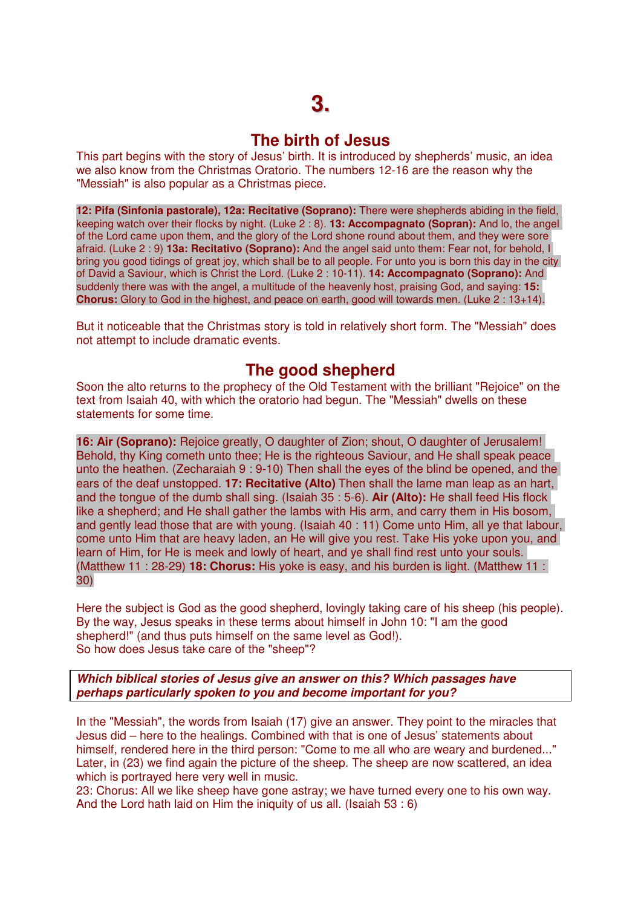### **The birth of Jesus**

This part begins with the story of Jesus' birth. It is introduced by shepherds' music, an idea we also know from the Christmas Oratorio. The numbers 12-16 are the reason why the "Messiah" is also popular as a Christmas piece.

**12: Pifa (Sinfonia pastorale), 12a: Recitative (Soprano):** There were shepherds abiding in the field, keeping watch over their flocks by night. (Luke 2 : 8). **13: Accompagnato (Sopran):** And lo, the angel of the Lord came upon them, and the glory of the Lord shone round about them, and they were sore afraid. (Luke 2 : 9) **13a: Recitativo (Soprano):** And the angel said unto them: Fear not, for behold, I bring you good tidings of great joy, which shall be to all people. For unto you is born this day in the city of David a Saviour, which is Christ the Lord. (Luke 2 : 10-11). **14: Accompagnato (Soprano):** And suddenly there was with the angel, a multitude of the heavenly host, praising God, and saying: **15: Chorus:** Glory to God in the highest, and peace on earth, good will towards men. (Luke 2 : 13+14).

But it noticeable that the Christmas story is told in relatively short form. The "Messiah" does not attempt to include dramatic events.

## **The good shepherd**

Soon the alto returns to the prophecy of the Old Testament with the brilliant "Rejoice" on the text from Isaiah 40, with which the oratorio had begun. The "Messiah" dwells on these statements for some time.

**16: Air (Soprano):** Rejoice greatly, O daughter of Zion; shout, O daughter of Jerusalem! Behold, thy King cometh unto thee; He is the righteous Saviour, and He shall speak peace unto the heathen. (Zecharaiah 9 : 9-10) Then shall the eyes of the blind be opened, and the ears of the deaf unstopped. **17: Recitative (Alto)** Then shall the lame man leap as an hart, and the tongue of the dumb shall sing. (Isaiah 35 : 5-6). **Air (Alto):** He shall feed His flock like a shepherd; and He shall gather the lambs with His arm, and carry them in His bosom, and gently lead those that are with young. (Isaiah 40 : 11) Come unto Him, all ye that labour, come unto Him that are heavy laden, an He will give you rest. Take His yoke upon you, and learn of Him, for He is meek and lowly of heart, and ye shall find rest unto your souls. (Matthew 11 : 28-29) **18: Chorus:** His yoke is easy, and his burden is light. (Matthew 11 : 30)

Here the subject is God as the good shepherd, lovingly taking care of his sheep (his people). By the way, Jesus speaks in these terms about himself in John 10: "I am the good shepherd!" (and thus puts himself on the same level as God!). So how does Jesus take care of the "sheep"?

### **Which biblical stories of Jesus give an answer on this? Which passages have perhaps particularly spoken to you and become important for you?**

In the "Messiah", the words from Isaiah (17) give an answer. They point to the miracles that Jesus did – here to the healings. Combined with that is one of Jesus' statements about himself, rendered here in the third person: "Come to me all who are weary and burdened..." Later, in (23) we find again the picture of the sheep. The sheep are now scattered, an idea which is portrayed here very well in music.

23: Chorus: All we like sheep have gone astray; we have turned every one to his own way. And the Lord hath laid on Him the iniquity of us all. (Isaiah 53 : 6)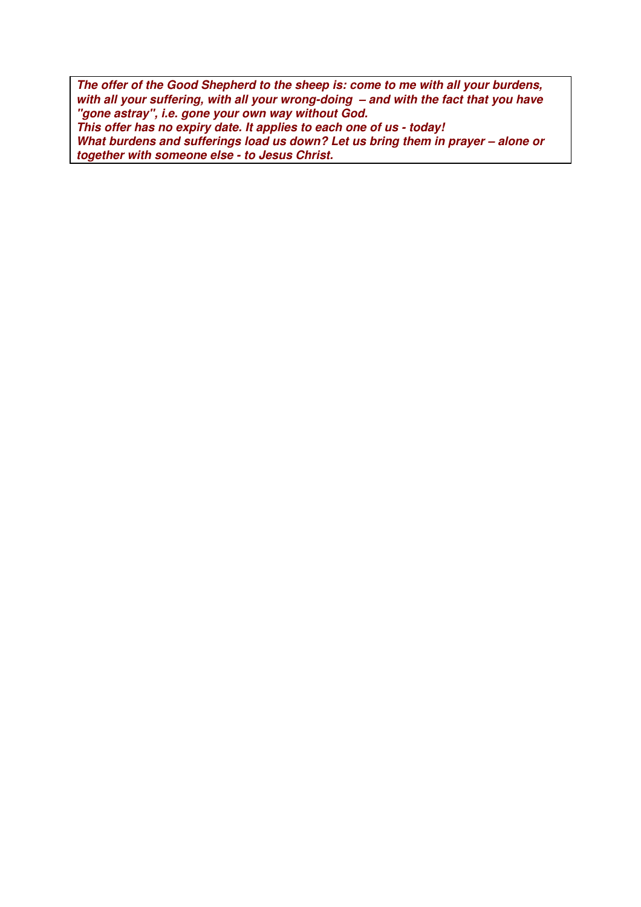**The offer of the Good Shepherd to the sheep is: come to me with all your burdens, with all your suffering, with all your wrong-doing – and with the fact that you have "gone astray", i.e. gone your own way without God. This offer has no expiry date. It applies to each one of us - today! What burdens and sufferings load us down? Let us bring them in prayer – alone or together with someone else - to Jesus Christ.**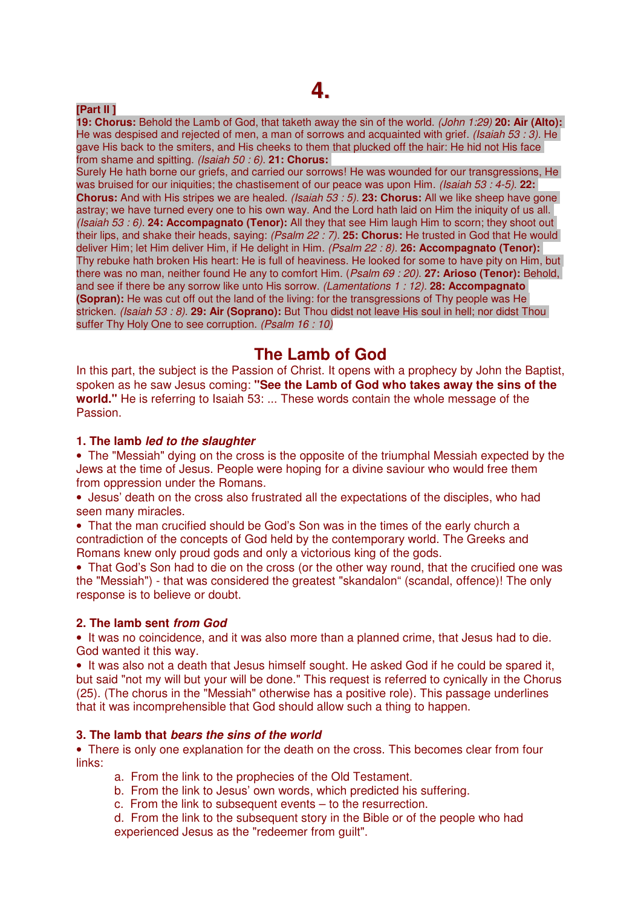## **4.**

### **[Part II ]**

**19: Chorus:** Behold the Lamb of God, that taketh away the sin of the world. (John 1:29) **20: Air (Alto):**  He was despised and rejected of men, a man of sorrows and acquainted with grief. (Isaiah 53 : 3). He gave His back to the smiters, and His cheeks to them that plucked off the hair: He hid not His face from shame and spitting. (Isaiah 50 : 6). **21: Chorus:** 

Surely He hath borne our griefs, and carried our sorrows! He was wounded for our transgressions, He was bruised for our iniquities; the chastisement of our peace was upon Him. *(Isaiah 53 : 4-5)*. **22: Chorus:** And with His stripes we are healed. (Isaiah 53 : 5). **23: Chorus:** All we like sheep have gone astray; we have turned every one to his own way. And the Lord hath laid on Him the iniquity of us all. (Isaiah 53 : 6). **24: Accompagnato (Tenor):** All they that see Him laugh Him to scorn; they shoot out their lips, and shake their heads, saying: (Psalm 22 : 7). **25: Chorus:** He trusted in God that He would deliver Him; let Him deliver Him, if He delight in Him. (Psalm 22 : 8). **26: Accompagnato (Tenor):** Thy rebuke hath broken His heart: He is full of heaviness. He looked for some to have pity on Him, but there was no man, neither found He any to comfort Him. (Psalm 69 : 20). **27: Arioso (Tenor):** Behold, and see if there be any sorrow like unto His sorrow. (Lamentations 1 : 12). **28: Accompagnato (Sopran):** He was cut off out the land of the living: for the transgressions of Thy people was He stricken. (Isaiah 53 : 8). **29: Air (Soprano):** But Thou didst not leave His soul in hell; nor didst Thou suffer Thy Holy One to see corruption. (Psalm 16 : 10)

## **The Lamb of God**

In this part, the subject is the Passion of Christ. It opens with a prophecy by John the Baptist, spoken as he saw Jesus coming: **"See the Lamb of God who takes away the sins of the world."** He is referring to Isaiah 53: ... These words contain the whole message of the Passion.

### **1. The lamb led to the slaughter**

• The "Messiah" dying on the cross is the opposite of the triumphal Messiah expected by the Jews at the time of Jesus. People were hoping for a divine saviour who would free them from oppression under the Romans.

• Jesus' death on the cross also frustrated all the expectations of the disciples, who had seen many miracles.

• That the man crucified should be God's Son was in the times of the early church a contradiction of the concepts of God held by the contemporary world. The Greeks and Romans knew only proud gods and only a victorious king of the gods.

• That God's Son had to die on the cross (or the other way round, that the crucified one was the "Messiah") - that was considered the greatest "skandalon" (scandal, offence)! The only response is to believe or doubt.

### **2. The lamb sent from God**

• It was no coincidence, and it was also more than a planned crime, that Jesus had to die. God wanted it this way.

• It was also not a death that Jesus himself sought. He asked God if he could be spared it, but said "not my will but your will be done." This request is referred to cynically in the Chorus (25). (The chorus in the "Messiah" otherwise has a positive role). This passage underlines that it was incomprehensible that God should allow such a thing to happen.

### **3. The lamb that bears the sins of the world**

• There is only one explanation for the death on the cross. This becomes clear from four links:

a. From the link to the prophecies of the Old Testament.

- b. From the link to Jesus' own words, which predicted his suffering.
- c. From the link to subsequent events to the resurrection.

d. From the link to the subsequent story in the Bible or of the people who had experienced Jesus as the "redeemer from guilt".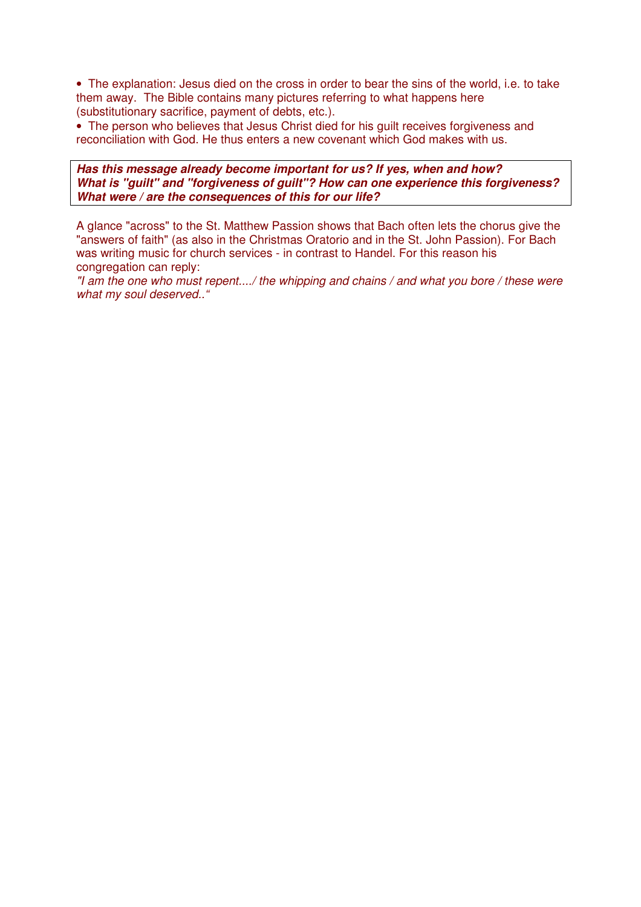• The explanation: Jesus died on the cross in order to bear the sins of the world, i.e. to take them away. The Bible contains many pictures referring to what happens here (substitutionary sacrifice, payment of debts, etc.).

• The person who believes that Jesus Christ died for his quilt receives forgiveness and reconciliation with God. He thus enters a new covenant which God makes with us.

**Has this message already become important for us? If yes, when and how? What is "guilt" and "forgiveness of guilt"? How can one experience this forgiveness? What were / are the consequences of this for our life?** 

A glance "across" to the St. Matthew Passion shows that Bach often lets the chorus give the "answers of faith" (as also in the Christmas Oratorio and in the St. John Passion). For Bach was writing music for church services - in contrast to Handel. For this reason his congregation can reply:

"I am the one who must repent..../ the whipping and chains / and what you bore / these were what my soul deserved.."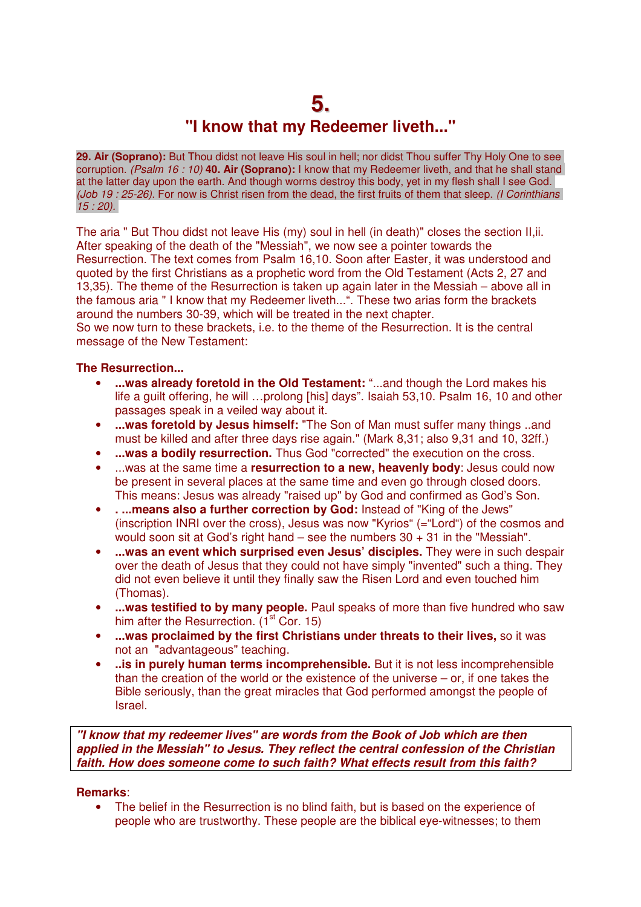## **5. "I know that my Redeemer liveth..."**

**29. Air (Soprano):** But Thou didst not leave His soul in hell; nor didst Thou suffer Thy Holy One to see corruption. (Psalm 16 : 10) **40. Air (Soprano):** I know that my Redeemer liveth, and that he shall stand at the latter day upon the earth. And though worms destroy this body, yet in my flesh shall I see God. (Job 19 : 25-26). For now is Christ risen from the dead, the first fruits of them that sleep. (I Corinthians  $15:20$ ).

The aria " But Thou didst not leave His (my) soul in hell (in death)" closes the section II,ii. After speaking of the death of the "Messiah", we now see a pointer towards the Resurrection. The text comes from Psalm 16,10. Soon after Easter, it was understood and quoted by the first Christians as a prophetic word from the Old Testament (Acts 2, 27 and 13,35). The theme of the Resurrection is taken up again later in the Messiah – above all in the famous aria " I know that my Redeemer liveth...". These two arias form the brackets around the numbers 30-39, which will be treated in the next chapter.

So we now turn to these brackets, i.e. to the theme of the Resurrection. It is the central message of the New Testament:

### **The Resurrection...**

- **...was already foretold in the Old Testament:** "...and though the Lord makes his life a guilt offering, he will …prolong [his] days". Isaiah 53,10. Psalm 16, 10 and other passages speak in a veiled way about it.
- **...was foretold by Jesus himself:** "The Son of Man must suffer many things ..and must be killed and after three days rise again." (Mark 8,31; also 9,31 and 10, 32ff.)
- **...was a bodily resurrection.** Thus God "corrected" the execution on the cross.
- ...was at the same time a **resurrection to a new, heavenly body**: Jesus could now be present in several places at the same time and even go through closed doors. This means: Jesus was already "raised up" by God and confirmed as God's Son.
- **. ...means also a further correction by God:** Instead of "King of the Jews" (inscription INRI over the cross), Jesus was now "Kyrios" (="Lord") of the cosmos and would soon sit at God's right hand – see the numbers  $30 + 31$  in the "Messiah".
- **...was an event which surprised even Jesus' disciples.** They were in such despair over the death of Jesus that they could not have simply "invented" such a thing. They did not even believe it until they finally saw the Risen Lord and even touched him (Thomas).
- **...was testified to by many people.** Paul speaks of more than five hundred who saw him after the Resurrection.  $(i<sup>st</sup> Cor. 15)$
- **...was proclaimed by the first Christians under threats to their lives,** so it was not an "advantageous" teaching.
- ..is in purely human terms incomprehensible. But it is not less incomprehensible than the creation of the world or the existence of the universe – or, if one takes the Bible seriously, than the great miracles that God performed amongst the people of Israel.

**"I know that my redeemer lives" are words from the Book of Job which are then applied in the Messiah" to Jesus. They reflect the central confession of the Christian faith. How does someone come to such faith? What effects result from this faith?** 

#### **Remarks**:

• The belief in the Resurrection is no blind faith, but is based on the experience of people who are trustworthy. These people are the biblical eye-witnesses; to them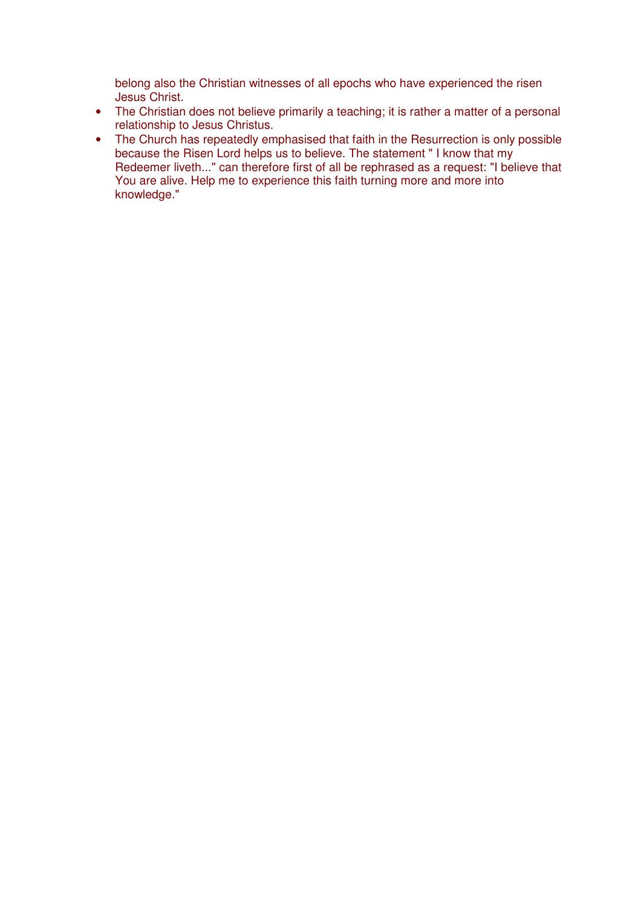belong also the Christian witnesses of all epochs who have experienced the risen Jesus Christ.

- The Christian does not believe primarily a teaching; it is rather a matter of a personal relationship to Jesus Christus.
- The Church has repeatedly emphasised that faith in the Resurrection is only possible because the Risen Lord helps us to believe. The statement " I know that my Redeemer liveth..." can therefore first of all be rephrased as a request: "I believe that You are alive. Help me to experience this faith turning more and more into knowledge."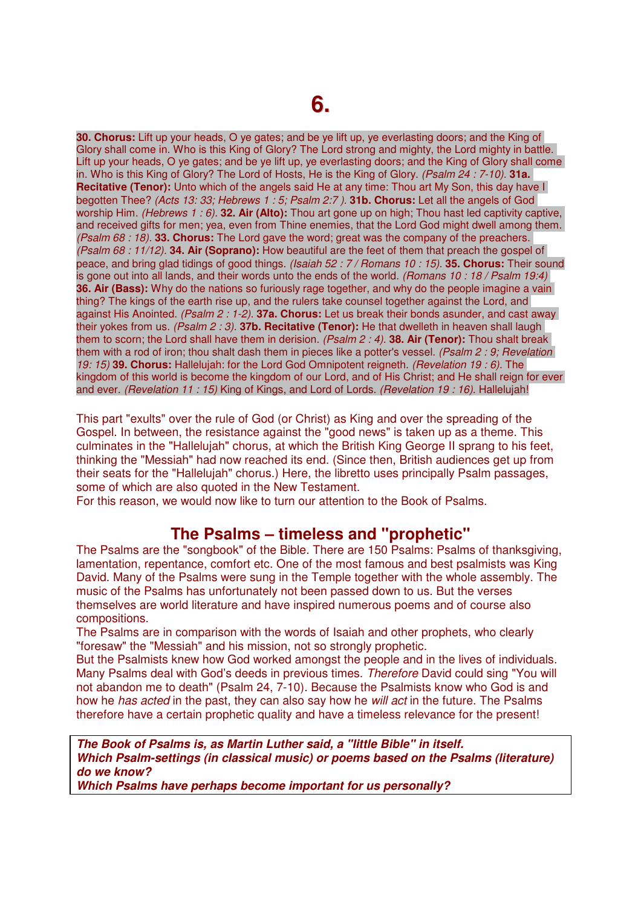**30. Chorus:** Lift up your heads, O ye gates; and be ye lift up, ye everlasting doors; and the King of Glory shall come in. Who is this King of Glory? The Lord strong and mighty, the Lord mighty in battle. Lift up your heads, O ye gates; and be ye lift up, ye everlasting doors; and the King of Glory shall come in. Who is this King of Glory? The Lord of Hosts, He is the King of Glory. (Psalm 24 : 7-10). **31a. Recitative (Tenor):** Unto which of the angels said He at any time: Thou art My Son, this day have I begotten Thee? (Acts 13: 33; Hebrews 1 : 5; Psalm 2:7 ). **31b. Chorus:** Let all the angels of God worship Him. (Hebrews 1 : 6). **32. Air (Alto):** Thou art gone up on high; Thou hast led captivity captive, and received gifts for men; yea, even from Thine enemies, that the Lord God might dwell among them. (Psalm 68 : 18). **33. Chorus:** The Lord gave the word; great was the company of the preachers. (Psalm 68 : 11/12). **34. Air (Soprano):** How beautiful are the feet of them that preach the gospel of peace, and bring glad tidings of good things. (Isaiah 52 : 7 / Romans 10 : 15). **35. Chorus:** Their sound is gone out into all lands, and their words unto the ends of the world. (Romans 10:18 / Psalm 19:4) **36. Air (Bass):** Why do the nations so furiously rage together, and why do the people imagine a vain thing? The kings of the earth rise up, and the rulers take counsel together against the Lord, and against His Anointed. (Psalm 2 : 1-2). **37a. Chorus:** Let us break their bonds asunder, and cast away their yokes from us. (Psalm 2 : 3). **37b. Recitative (Tenor):** He that dwelleth in heaven shall laugh them to scorn; the Lord shall have them in derision. (Psalm 2 : 4). **38. Air (Tenor):** Thou shalt break them with a rod of iron; thou shalt dash them in pieces like a potter's vessel. (Psalm 2: 9; Revelation 19: 15) **39. Chorus:** Hallelujah: for the Lord God Omnipotent reigneth. (Revelation 19 : 6). The kingdom of this world is become the kingdom of our Lord, and of His Christ; and He shall reign for ever and ever. (Revelation 11 : 15) King of Kings, and Lord of Lords. (Revelation 19 : 16). Hallelujah!

This part "exults" over the rule of God (or Christ) as King and over the spreading of the Gospel. In between, the resistance against the "good news" is taken up as a theme. This culminates in the "Hallelujah" chorus, at which the British King George II sprang to his feet, thinking the "Messiah" had now reached its end. (Since then, British audiences get up from their seats for the "Hallelujah" chorus.) Here, the libretto uses principally Psalm passages, some of which are also quoted in the New Testament.

For this reason, we would now like to turn our attention to the Book of Psalms.

## **The Psalms – timeless and "prophetic"**

The Psalms are the "songbook" of the Bible. There are 150 Psalms: Psalms of thanksgiving, lamentation, repentance, comfort etc. One of the most famous and best psalmists was King David. Many of the Psalms were sung in the Temple together with the whole assembly. The music of the Psalms has unfortunately not been passed down to us. But the verses themselves are world literature and have inspired numerous poems and of course also compositions.

The Psalms are in comparison with the words of Isaiah and other prophets, who clearly "foresaw" the "Messiah" and his mission, not so strongly prophetic.

But the Psalmists knew how God worked amongst the people and in the lives of individuals. Many Psalms deal with God's deeds in previous times. Therefore David could sing "You will not abandon me to death" (Psalm 24, 7-10). Because the Psalmists know who God is and how he has acted in the past, they can also say how he will act in the future. The Psalms therefore have a certain prophetic quality and have a timeless relevance for the present!

**The Book of Psalms is, as Martin Luther said, a "little Bible" in itself. Which Psalm-settings (in classical music) or poems based on the Psalms (literature) do we know?** 

**Which Psalms have perhaps become important for us personally?**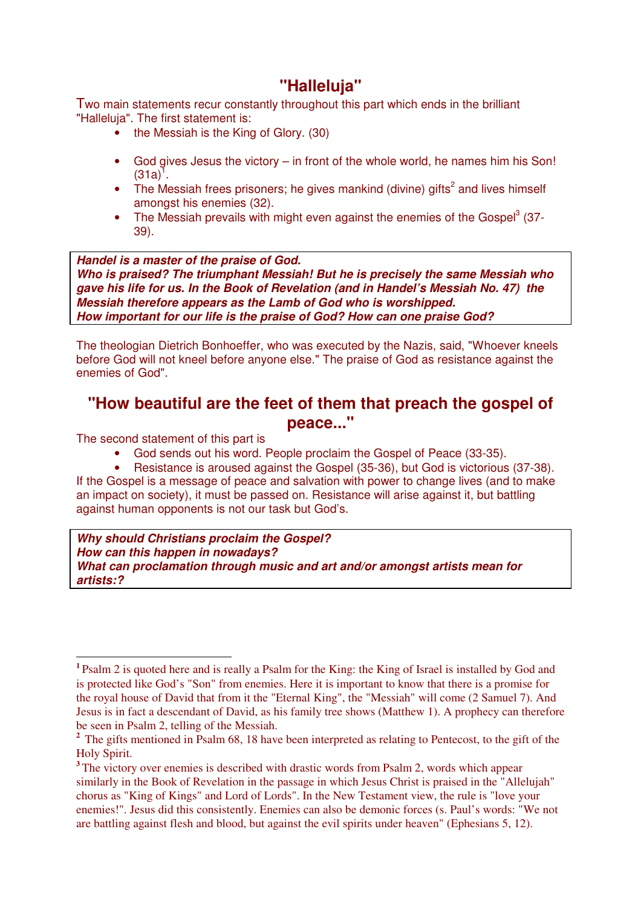## **"Halleluja"**

Two main statements recur constantly throughout this part which ends in the brilliant "Halleluja". The first statement is:

- the Messiah is the King of Glory. (30)
- God gives Jesus the victory in front of the whole world, he names him his Son!  $(31a)^{1}$ .
- The Messiah frees prisoners; he gives mankind (divine) gifts<sup>2</sup> and lives himself amongst his enemies (32).
- The Messiah prevails with might even against the enemies of the Gospel $3$  (37-39).

**Handel is a master of the praise of God. Who is praised? The triumphant Messiah! But he is precisely the same Messiah who gave his life for us. In the Book of Revelation (and in Handel's Messiah No. 47) the Messiah therefore appears as the Lamb of God who is worshipped. How important for our life is the praise of God? How can one praise God?** 

The theologian Dietrich Bonhoeffer, who was executed by the Nazis, said, "Whoever kneels before God will not kneel before anyone else." The praise of God as resistance against the enemies of God".

## **"How beautiful are the feet of them that preach the gospel of peace..."**

The second statement of this part is

- God sends out his word. People proclaim the Gospel of Peace (33-35).<br>• Besistance is aroused against the Gospel (35-36), but God is victorious
- Resistance is aroused against the Gospel (35-36), but God is victorious (37-38). If the Gospel is a message of peace and salvation with power to change lives (and to make an impact on society), it must be passed on. Resistance will arise against it, but battling against human opponents is not our task but God's.

**Why should Christians proclaim the Gospel? How can this happen in nowadays? What can proclamation through music and art and/or amongst artists mean for artists:?** 

<sup>&</sup>lt;sup>1</sup> Psalm 2 is quoted here and is really a Psalm for the King: the King of Israel is installed by God and is protected like God's "Son" from enemies. Here it is important to know that there is a promise for the royal house of David that from it the "Eternal King", the "Messiah" will come (2 Samuel 7). And Jesus is in fact a descendant of David, as his family tree shows (Matthew 1). A prophecy can therefore be seen in Psalm 2, telling of the Messiah.

<sup>&</sup>lt;sup>2</sup> The gifts mentioned in Psalm 68, 18 have been interpreted as relating to Pentecost, to the gift of the Holy Spirit.

<sup>&</sup>lt;sup>3</sup> The victory over enemies is described with drastic words from Psalm 2, words which appear similarly in the Book of Revelation in the passage in which Jesus Christ is praised in the "Allelujah" chorus as "King of Kings" and Lord of Lords". In the New Testament view, the rule is "love your enemies!". Jesus did this consistently. Enemies can also be demonic forces (s. Paul's words: "We not are battling against flesh and blood, but against the evil spirits under heaven" (Ephesians 5, 12).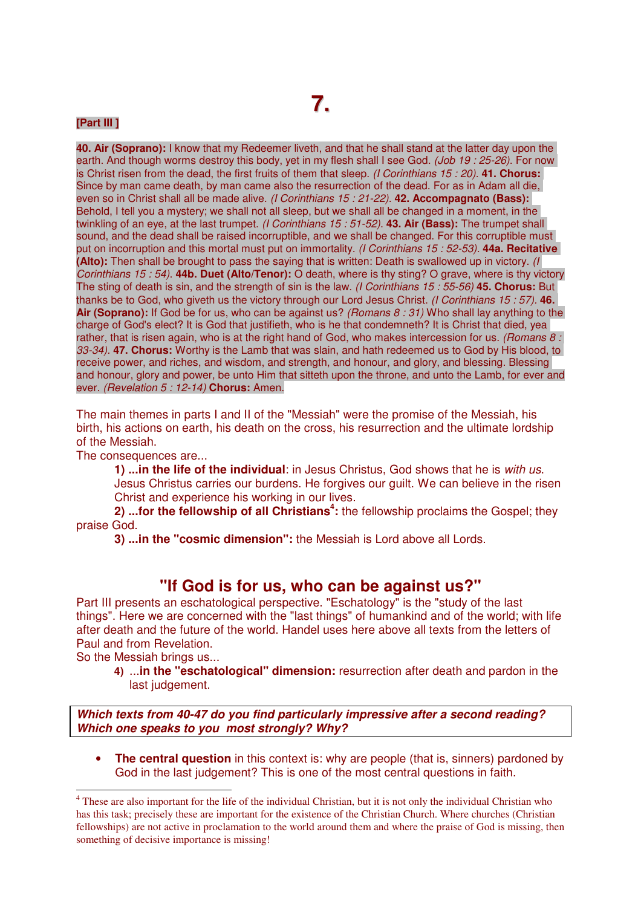#### **[Part III ]**

**40. Air (Soprano):** I know that my Redeemer liveth, and that he shall stand at the latter day upon the earth. And though worms destroy this body, yet in my flesh shall I see God. (Job 19: 25-26). For now is Christ risen from the dead, the first fruits of them that sleep. (I Corinthians 15 : 20). **41. Chorus:**  Since by man came death, by man came also the resurrection of the dead. For as in Adam all die, even so in Christ shall all be made alive. (I Corinthians 15 : 21-22). **42. Accompagnato (Bass):**  Behold, I tell you a mystery; we shall not all sleep, but we shall all be changed in a moment, in the twinkling of an eye, at the last trumpet. (I Corinthians 15 : 51-52). **43. Air (Bass):** The trumpet shall sound, and the dead shall be raised incorruptible, and we shall be changed. For this corruptible must put on incorruption and this mortal must put on immortality. (I Corinthians 15 : 52-53). **44a. Recitative (Alto):** Then shall be brought to pass the saying that is written: Death is swallowed up in victory. (I Corinthians 15 : 54). **44b. Duet (Alto/Tenor):** O death, where is thy sting? O grave, where is thy victory The sting of death is sin, and the strength of sin is the law. (I Corinthians 15 : 55-56) **45. Chorus:** But thanks be to God, who giveth us the victory through our Lord Jesus Christ. (I Corinthians 15 : 57). **46. Air (Soprano):** If God be for us, who can be against us? (Romans 8 : 31) Who shall lay anything to the charge of God's elect? It is God that justifieth, who is he that condemneth? It is Christ that died, yea rather, that is risen again, who is at the right hand of God, who makes intercession for us. (Romans  $8:$ 33-34). **47. Chorus:** Worthy is the Lamb that was slain, and hath redeemed us to God by His blood, to receive power, and riches, and wisdom, and strength, and honour, and glory, and blessing. Blessing and honour, glory and power, be unto Him that sitteth upon the throne, and unto the Lamb, for ever and ever. (Revelation 5 : 12-14) **Chorus:** Amen.

The main themes in parts I and II of the "Messiah" were the promise of the Messiah, his birth, his actions on earth, his death on the cross, his resurrection and the ultimate lordship of the Messiah.

The consequences are...

**1) ...in the life of the individual**: in Jesus Christus, God shows that he is with us. Jesus Christus carries our burdens. He forgives our guilt. We can believe in the risen Christ and experience his working in our lives.

**2)** ...for the fellowship of all Christians<sup>4</sup>: the fellowship proclaims the Gospel; they praise God.

**3) ...in the "cosmic dimension":** the Messiah is Lord above all Lords.

### **"If God is for us, who can be against us?"**

Part III presents an eschatological perspective. "Eschatology" is the "study of the last things". Here we are concerned with the "last things" of humankind and of the world; with life after death and the future of the world. Handel uses here above all texts from the letters of Paul and from Revelation.

So the Messiah brings us...

**4)** ...**in the "eschatological" dimension:** resurrection after death and pardon in the last judgement.

**Which texts from 40-47 do you find particularly impressive after a second reading? Which one speaks to you most strongly? Why?** 

• **The central question** in this context is: why are people (that is, sinners) pardoned by God in the last judgement? This is one of the most central questions in faith.

 $\frac{1}{4}$ <sup>4</sup> These are also important for the life of the individual Christian, but it is not only the individual Christian who has this task; precisely these are important for the existence of the Christian Church. Where churches (Christian fellowships) are not active in proclamation to the world around them and where the praise of God is missing, then something of decisive importance is missing!